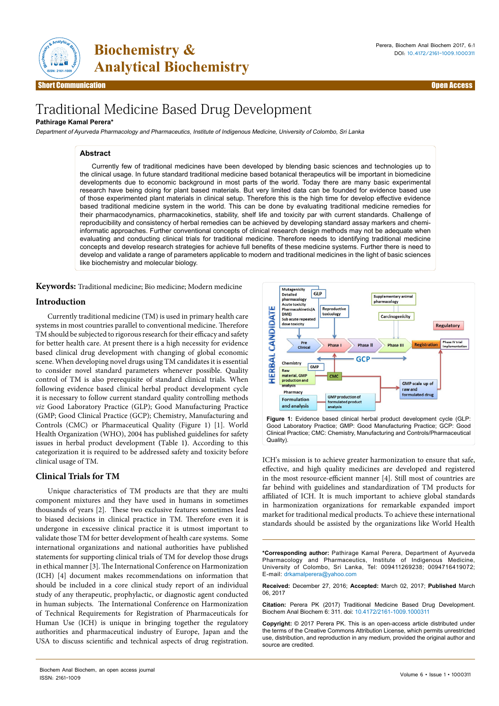

**Biochemistry & Analytical Biochemistry** 

Short Communication Open Access

# Traditional Medicine Based Drug Development

**Pathirage Kamal Perera\***

Department of Ayurveda Pharmacology and Pharmaceutics, Institute of Indigenous Medicine, University of Colombo, Sri Lanka

## **Abstract**

Currently few of traditional medicines have been developed by blending basic sciences and technologies up to the clinical usage. In future standard traditional medicine based botanical therapeutics will be important in biomedicine developments due to economic background in most parts of the world. Today there are many basic experimental research have being doing for plant based materials. But very limited data can be founded for evidence based use of those experimented plant materials in clinical setup. Therefore this is the high time for develop effective evidence based traditional medicine system in the world. This can be done by evaluating traditional medicine remedies for their pharmacodynamics, pharmacokinetics, stability, shelf life and toxicity par with current standards. Challenge of reproducibility and consistency of herbal remedies can be achieved by developing standard assay markers and chemiinformatic approaches. Further conventional concepts of clinical research design methods may not be adequate when evaluating and conducting clinical trials for traditional medicine. Therefore needs to identifying traditional medicine concepts and develop research strategies for achieve full benefits of these medicine systems. Further there is need to develop and validate a range of parameters applicable to modern and traditional medicines in the light of basic sciences like biochemistry and molecular biology.

**Keywords:** Traditional medicine; Bio medicine; Modern medicine

## **Introduction**

Currently traditional medicine (TM) is used in primary health care systems in most countries parallel to conventional medicine. Therefore TM should be subjected to rigorous research for their efficacy and safety for better health care. At present there is a high necessity for evidence based clinical drug development with changing of global economic scene. When developing novel drugs using TM candidates it is essential to consider novel standard parameters whenever possible. Quality control of TM is also prerequisite of standard clinical trials. When following evidence based clinical herbal product development cycle it is necessary to follow current standard quality controlling methods *viz* Good Laboratory Practice (GLP); Good Manufacturing Practice (GMP; Good Clinical Practice (GCP); Chemistry, Manufacturing and Controls (CMC) or Pharmaceutical Quality (Figure 1) [1]. World Health Organization (WHO), 2004 has published guidelines for safety issues in herbal product development **(**Table 1**)**. According to this categorization it is required to be addressed safety and toxicity before clinical usage of TM.

## **Clinical Trials for TM**

ISSN: 2161-1009

Unique characteristics of TM products are that they are multi component mixtures and they have used in humans in sometimes thousands of years [2]. These two exclusive features sometimes lead to biased decisions in clinical practice in TM. Therefore even it is undergone in excessive clinical practice it is utmost important to validate those TM for better development of health care systems. Some international organizations and national authorities have published statements for supporting clinical trials of TM for develop those drugs in ethical manner [3]. The International Conference on Harmonization (ICH) [4] document makes recommendations on information that should be included in a core clinical study report of an individual study of any therapeutic, prophylactic, or diagnostic agent conducted in human subjects. The International Conference on Harmonization of Technical Requirements for Registration of Pharmaceuticals for Human Use (ICH) is unique in bringing together the regulatory authorities and pharmaceutical industry of Europe, Japan and the USA to discuss scientific and technical aspects of drug registration.





ICH's mission is to achieve greater harmonization to ensure that safe, effective, and high quality medicines are developed and registered in the most resource-efficient manner [4]. Still most of countries are far behind with guidelines and standardization of TM products for affiliated of ICH. It is much important to achieve global standards in harmonization organizations for remarkable expanded import market for traditional medical products. To achieve these international standards should be assisted by the organizations like World Health

**\*Corresponding author:** Pathirage Kamal Perera, Department of Ayurveda Pharmacology and Pharmaceutics, Institute of Indigenous Medicine, University of Colombo, Sri Lanka, Tel: 009411269238; 0094716419072; E-mail: drkamalperera@yahoo.com

**Received:** December 27, 2016; **Accepted:** March 02, 2017; **Published** March 06, 2017

**Citation:** Perera PK (2017) Traditional Medicine Based Drug Development. Biochem Anal Biochem 6: 311. doi: 10.4172/2161-1009.1000311

**Copyright:** © 2017 Perera PK. This is an open-access article distributed under the terms of the Creative Commons Attribution License, which permits unrestricted use, distribution, and reproduction in any medium, provided the original author and source are credited.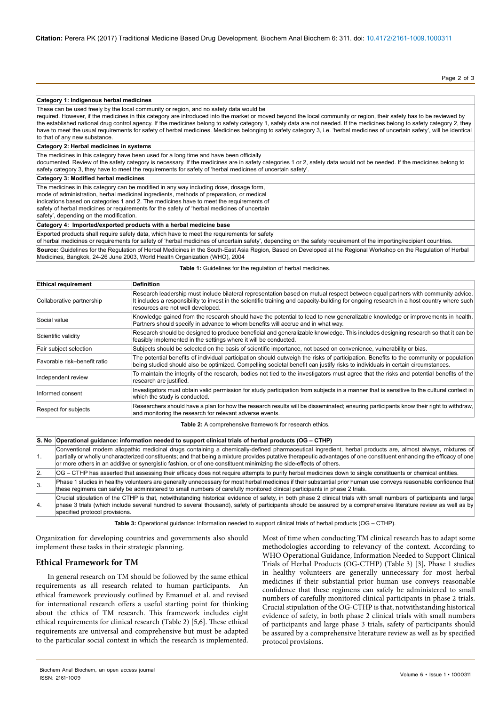Page 2 of 3

### **Category 1: Indigenous herbal medicines**

These can be used freely by the local community or region, and no safety data would be

required. However, if the medicines in this category are introduced into the market or moved beyond the local community or region, their safety has to be reviewed by the established national drug control agency. If the medicines belong to safety category 1, safety data are not needed. If the medicines belong to safety category 2, they have to meet the usual requirements for safety of herbal medicines. Medicines belonging to safety category 3, i.e. 'herbal medicines of uncertain safety', will be identical to that of any new substance.

**Category 2: Herbal medicines in systems**

The medicines in this category have been used for a long time and have been officially

documented. Review of the safety category is necessary. If the medicines are in safety categories 1 or 2, safety data would not be needed. If the medicines belong to safety category 3, they have to meet the requirements for safety of 'herbal medicines of uncertain safety'.

**Category 3: Modified herbal medicines**

The medicines in this category can be modified in any way including dose, dosage form, mode of administration, herbal medicinal ingredients, methods of preparation, or medical indications based on categories 1 and 2. The medicines have to meet the requirements of safety of herbal medicines or requirements for the safety of 'herbal medicines of uncertain safety', depending on the modification.

## **Category 4: Imported/exported products with a herbal medicine base**

Exported products shall require safety data, which have to meet the requirements for safety

of herbal medicines or requirements for safety of 'herbal medicines of uncertain safety', depending on the safety requirement of the importing/recipient countries. **Source:** Guidelines for the Regulation of Herbal Medicines in the South-East Asia Region, Based on Developed at the Regional Workshop on the Regulation of Herbal Medicines, Bangkok, 24-26 June 2003, World Health Organization (WHO), 2004

#### **Table 1:** Guidelines for the regulation of herbal medicines.

| <b>Ethical requirement</b>   | <b>Definition</b>                                                                                                                                                                                                                                                                                                 |
|------------------------------|-------------------------------------------------------------------------------------------------------------------------------------------------------------------------------------------------------------------------------------------------------------------------------------------------------------------|
| Collaborative partnership    | Research leadership must include bilateral representation based on mutual respect between equal partners with community advice.<br>It includes a responsibility to invest in the scientific training and capacity-building for ongoing research in a host country where such<br>resources are not well developed. |
| Social value                 | Knowledge gained from the research should have the potential to lead to new generalizable knowledge or improvements in health.<br>Partners should specify in advance to whom benefits will accrue and in what way.                                                                                                |
| Scientific validity          | Research should be designed to produce beneficial and generalizable knowledge. This includes designing research so that it can be<br>feasibly implemented in the settings where it will be conducted.                                                                                                             |
| Fair subject selection       | Subjects should be selected on the basis of scientific importance, not based on convenience, vulnerability or bias.                                                                                                                                                                                               |
| Favorable risk-benefit ratio | The potential benefits of individual participation should outweigh the risks of participation. Benefits to the community or population<br>being studied should also be optimized. Compelling societal benefit can justify risks to individuals in certain circumstances.                                          |
| Independent review           | To maintain the integrity of the research, bodies not tied to the investigators must agree that the risks and potential benefits of the<br>research are justified.                                                                                                                                                |
| Informed consent             | Investigators must obtain valid permission for study participation from subjects in a manner that is sensitive to the cultural context in<br>which the study is conducted.                                                                                                                                        |
| Respect for subjects         | Researchers should have a plan for how the research results will be disseminated; ensuring participants know their right to withdraw,<br>and monitoring the research for relevant adverse events.                                                                                                                 |

**Table 2:** A comprehensive framework for research ethics.

**S. No Operational guidance: information needed to support clinical trials of herbal products (OG – CTHP)** 1. Conventional modern allopathic medicinal drugs containing a chemically-defined pharmaceutical ingredient, herbal products are, almost always, mixtures of partially or wholly uncharacterized constituents; and that being a mixture provides putative therapeutic advantages of one constituent enhancing the efficacy of one or more others in an additive or synergistic fashion, or of one constituent minimizing the side-effects of others. 2. OG – CTHP has asserted that assessing their efficacy does not require attempts to purify herbal medicines down to single constituents or chemical entities.  $\beta$  Phase 1 studies in healthy volunteers are generally unnecessary for most herbal medicines if their substantial prior human use conveys reasonable confidence that these regimens can safely be administered to small numbers of carefully monitored clinical participants in phase 2 trials. 4. Crucial stipulation of the CTHP is that, notwithstanding historical evidence of safety, in both phase 2 clinical trials with small numbers of participants and large phase 3 trials (which include several hundred to several thousand), safety of participants should be assured by a comprehensive literature review as well as by specified protocol provisions.

**Table 3:** Operational guidance: Information needed to support clinical trials of herbal products (OG – CTHP).

Organization for developing countries and governments also should implement these tasks in their strategic planning.

## **Ethical Framework for TM**

In general research on TM should be followed by the same ethical requirements as all research related to human participants. An ethical framework previously outlined by Emanuel et al. and revised for international research offers a useful starting point for thinking about the ethics of TM research. This framework includes eight ethical requirements for clinical research (Table 2) [5,6]. These ethical requirements are universal and comprehensive but must be adapted to the particular social context in which the research is implemented.

Most of time when conducting TM clinical research has to adapt some methodologies according to relevancy of the context. According to WHO Operational Guidance, Information Needed to Support Clinical Trials of Herbal Products (OG-CTHP) (Table 3) [3], Phase 1 studies in healthy volunteers are generally unnecessary for most herbal medicines if their substantial prior human use conveys reasonable confidence that these regimens can safely be administered to small numbers of carefully monitored clinical participants in phase 2 trials. Crucial stipulation of the OG-CTHP is that, notwithstanding historical evidence of safety, in both phase 2 clinical trials with small numbers of participants and large phase 3 trials, safety of participants should be assured by a comprehensive literature review as well as by specified protocol provisions.